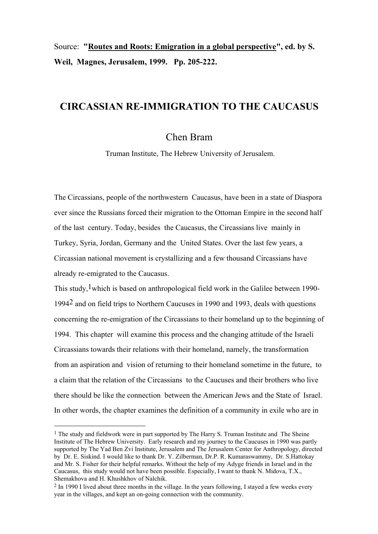Source: **"Routes and Roots: Emigration in a global perspective", ed. by S. Weil, Magnes, Jerusalem, 1999. Pp. 205-222.**

# **CIRCASSIAN RE-IMMIGRATION TO THE CAUCASUS**

# Chen Bram

Truman Institute, The Hebrew University of Jerusalem.

The Circassians, people of the northwestern Caucasus, have been in a state of Diaspora ever since the Russians forced their migration to the Ottoman Empire in the second half of the last century. Today, besides the Caucasus, the Circassians live mainly in Turkey, Syria, Jordan, Germany and the United States. Over the last few years, a Circassian national movement is crystallizing and a few thousand Circassians have already re-emigrated to the Caucasus.

This study,  $1$  which is based on anthropological field work in the Galilee between 1990-19942 and on field trips to Northern Caucuses in 1990 and 1993, deals with questions concerning the re-emigration of the Circassians to their homeland up to the beginning of 1994. This chapter will examine this process and the changing attitude of the Israeli Circassians towards their relations with their homeland, namely, the transformation from an aspiration and vision of returning to their homeland sometime in the future, to a claim that the relation of the Circassians to the Caucuses and their brothers who live there should be like the connection between the American Jews and the State of Israel. In other words, the chapter examines the definition of a community in exile who are in

 $\overline{a}$ 

 $<sup>1</sup>$  The study and fieldwork were in part supported by The Harry S. Truman Institute and The Sheine</sup> Institute of The Hebrew University. Early research and my journey to the Caucuses in 1990 was partly supported by The Yad Ben Zvi Institute, Jerusalem and The Jerusalem Center for Anthropology, directed by Dr. E. Siskind. I would like to thank Dr. Y. Zilberman, Dr.P. R. Kumaraswammy, Dr. S.Hattokay and Mr. S. Fisher for their helpful remarks. Without the help of my Adyge friends in Israel and in the Caucasus, this study would not have been possible. Especially, I want to thank N. Midova, T.X., Shemakhova and H. Khushkhov of Nalchik.

<sup>2</sup> In 1990 I lived about three months in the village. In the years following, I stayed a few weeks every year in the villages, and kept an on-going connection with the community.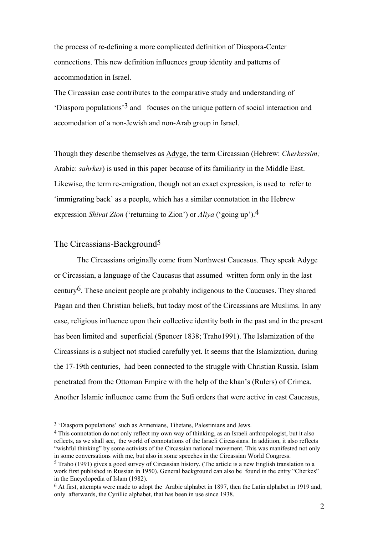the process of re-defining a more complicated definition of Diaspora-Center connections. This new definition influences group identity and patterns of accommodation in Israel.

The Circassian case contributes to the comparative study and understanding of 'Diaspora populations'3 and focuses on the unique pattern of social interaction and accomodation of a non-Jewish and non-Arab group in Israel.

Though they describe themselves as Adyge, the term Circassian (Hebrew: *Cherkessim;* Arabic: *sahrkes*) is used in this paper because of its familiarity in the Middle East. Likewise, the term re-emigration, though not an exact expression, is used to refer to 'immigrating back' as a people, which has a similar connotation in the Hebrew expression *Shivat Zion* ('returning to Zion') or *Aliya* ('going up').4

#### The Circassians-Background<sup>5</sup>

 $\overline{a}$ 

 The Circassians originally come from Northwest Caucasus. They speak Adyge or Circassian, a language of the Caucasus that assumed written form only in the last century<sup>6</sup>. These ancient people are probably indigenous to the Caucuses. They shared Pagan and then Christian beliefs, but today most of the Circassians are Muslims. In any case, religious influence upon their collective identity both in the past and in the present has been limited and superficial (Spencer 1838; Traho1991). The Islamization of the Circassians is a subject not studied carefully yet. It seems that the Islamization, during the 17-19th centuries, had been connected to the struggle with Christian Russia. Islam penetrated from the Ottoman Empire with the help of the khan's (Rulers) of Crimea. Another Islamic influence came from the Sufi orders that were active in east Caucasus,

<sup>3 &#</sup>x27;Diaspora populations' such as Armenians, Tibetans, Palestinians and Jews.

<sup>4</sup> This connotation do not only reflect my own way of thinking, as an Israeli anthropologist, but it also reflects, as we shall see, the world of connotations of the Israeli Circassians. In addition, it also reflects "wishful thinking" by some activists of the Circassian national movement. This was manifested not only in some conversations with me, but also in some speeches in the Circassian World Congress.

<sup>5</sup> Traho (1991) gives a good survey of Circassian history. (The article is a new English translation to a work first published in Russian in 1950). General background can also be found in the entry "Cherkes" in the Encyclopedia of Islam (1982).

<sup>&</sup>lt;sup>6</sup> At first, attempts were made to adopt the Arabic alphabet in 1897, then the Latin alphabet in 1919 and, only afterwards, the Cyrillic alphabet, that has been in use since 1938.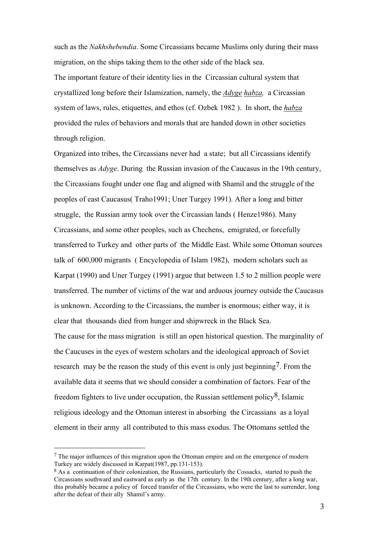such as the *Nakhshebendia*. Some Circassians became Muslims only during their mass migration, on the ships taking them to the other side of the black sea.

The important feature of their identity lies in the Circassian cultural system that crystallized long before their Islamization, namely, the *Adyge habza,* a Circassian system of laws, rules, etiquettes, and ethos (cf. Ozbek 1982 ). In short, the *habza* provided the rules of behaviors and morals that are handed down in other societies through religion.

Organized into tribes, the Circassians never had a state; but all Circassians identify themselves as *Adyge*. During the Russian invasion of the Caucasus in the 19th century, the Circassians fought under one flag and aligned with Shamil and the struggle of the peoples of east Caucasus( Traho1991; Uner Turgey 1991). After a long and bitter struggle, the Russian army took over the Circassian lands ( Henze1986). Many Circassians, and some other peoples, such as Chechens, emigrated, or forcefully transferred to Turkey and other parts of the Middle East. While some Ottoman sources talk of 600,000 migrants ( Encyclopedia of Islam 1982), modern scholars such as Karpat (1990) and Uner Turgey (1991) argue that between 1.5 to 2 million people were transferred. The number of victims of the war and arduous journey outside the Caucasus is unknown. According to the Circassians, the number is enormous; either way, it is clear that thousands died from hunger and shipwreck in the Black Sea.

The cause for the mass migration is still an open historical question. The marginality of the Caucuses in the eyes of western scholars and the ideological approach of Soviet research may be the reason the study of this event is only just beginning7. From the available data it seems that we should consider a combination of factors. Fear of the freedom fighters to live under occupation, the Russian settlement policy $\delta$ , Islamic religious ideology and the Ottoman interest in absorbing the Circassians as a loyal element in their army all contributed to this mass exodus. The Ottomans settled the

l

 $<sup>7</sup>$  The major influences of this migration upon the Ottoman empire and on the emergence of modern</sup> Turkey are widely discussed in Karpat(1987, pp.131-153).

 $8$  As a continuation of their colonization, the Russians, particularly the Cossacks, started to push the Circassians southward and eastward as early as the 17th century. In the 19th century, after a long war, this probably became a policy of forced transfer of the Circassians, who were the last to surrender, long after the defeat of their ally Shamil's army.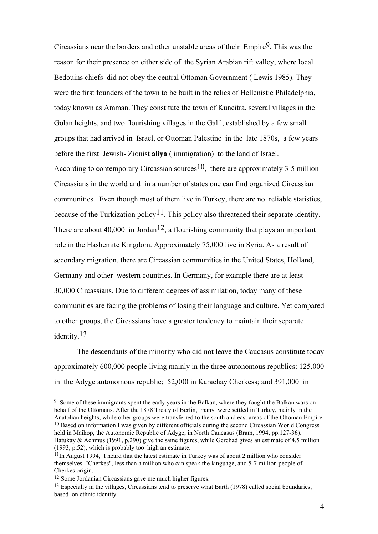Circassians near the borders and other unstable areas of their  $Empire<sup>9</sup>$ . This was the reason for their presence on either side of the Syrian Arabian rift valley, where local Bedouins chiefs did not obey the central Ottoman Government ( Lewis 1985). They were the first founders of the town to be built in the relics of Hellenistic Philadelphia, today known as Amman. They constitute the town of Kuneitra, several villages in the Golan heights, and two flourishing villages in the Galil, established by a few small groups that had arrived in Israel, or Ottoman Palestine in the late 1870s, a few years before the first Jewish- Zionist **aliya** ( immigration) to the land of Israel. According to contemporary Circassian sources<sup>10</sup>, there are approximately 3-5 million Circassians in the world and in a number of states one can find organized Circassian communities. Even though most of them live in Turkey, there are no reliable statistics, because of the Turkization policy<sup>11</sup>. This policy also threatened their separate identity. There are about 40,000 in Jordan<sup>12</sup>, a flourishing community that plays an important role in the Hashemite Kingdom. Approximately 75,000 live in Syria. As a result of secondary migration, there are Circassian communities in the United States, Holland, Germany and other western countries. In Germany, for example there are at least 30,000 Circassians. Due to different degrees of assimilation, today many of these communities are facing the problems of losing their language and culture. Yet compared to other groups, the Circassians have a greater tendency to maintain their separate identity.13

 The descendants of the minority who did not leave the Caucasus constitute today approximately 600,000 people living mainly in the three autonomous republics: 125,000 in the Adyge autonomous republic; 52,000 in Karachay Cherkess; and 391,000 in

<sup>&</sup>lt;sup>9</sup> Some of these immigrants spent the early years in the Balkan, where they fought the Balkan wars on behalf of the Ottomans. After the 1878 Treaty of Berlin, many were settled in Turkey, mainly in the Anatolian heights, while other groups were transferred to the south and east areas of the Ottoman Empire.  $10$  Based on information I was given by different officials during the second Circassian World Congress held in Maikop, the Autonomic Republic of Adyge, in North Caucasus (Bram, 1994, pp.127-36). Hatukay & Achmus (1991, p.290) give the same figures, while Gerchad gives an estimate of 4.5 million (1993, p.52), which is probably too high an estimate.

 $11$ In August 1994. I heard that the latest estimate in Turkey was of about 2 million who consider themselves "Cherkes", less than a million who can speak the language, and 5-7 million people of Cherkes origin.

<sup>12</sup> Some Jordanian Circassians gave me much higher figures.

<sup>&</sup>lt;sup>13</sup> Especially in the villages. Circassians tend to preserve what Barth (1978) called social boundaries, based on ethnic identity.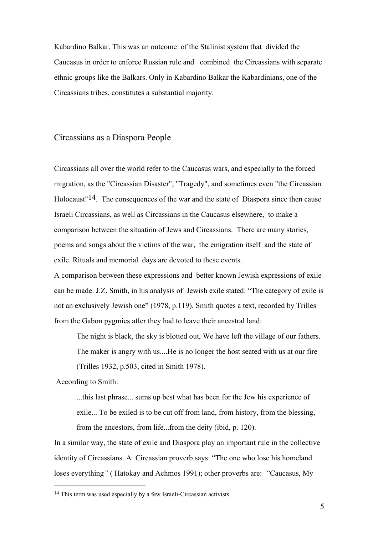Kabardino Balkar. This was an outcome of the Stalinist system that divided the Caucasus in order to enforce Russian rule and combined the Circassians with separate ethnic groups like the Balkars. Only in Kabardino Balkar the Kabardinians, one of the Circassians tribes, constitutes a substantial majority.

### Circassians as a Diaspora People

Circassians all over the world refer to the Caucasus wars, and especially to the forced migration, as the "Circassian Disaster", "Tragedy", and sometimes even "the Circassian Holocaust"14. The consequences of the war and the state of Diaspora since then cause Israeli Circassians, as well as Circassians in the Caucasus elsewhere, to make a comparison between the situation of Jews and Circassians. There are many stories, poems and songs about the victims of the war, the emigration itself and the state of exile. Rituals and memorial days are devoted to these events.

A comparison between these expressions and better known Jewish expressions of exile can be made. J.Z. Smith, in his analysis of Jewish exile stated: "The category of exile is not an exclusively Jewish one" (1978, p.119). Smith quotes a text, recorded by Trilles from the Gabon pygmies after they had to leave their ancestral land:

 The night is black, the sky is blotted out, We have left the village of our fathers. The maker is angry with us....He is no longer the host seated with us at our fire (Trilles 1932, p.503, cited in Smith 1978).

According to Smith:

l

 ...this last phrase... sums up best what has been for the Jew his experience of exile... To be exiled is to be cut off from land, from history, from the blessing, from the ancestors, from life...from the deity (ibid, p. 120).

In a similar way, the state of exile and Diaspora play an important rule in the collective identity of Circassians. A Circassian proverb says: "The one who lose his homeland loses everything*"* ( Hatokay and Achmos 1991); other proverbs are: *"*Caucasus, My

<sup>14</sup> This term was used especially by a few Israeli-Circassian activists.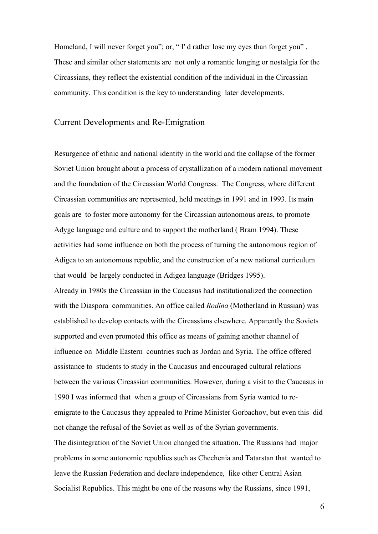Homeland, I will never forget you"; or, "I' d rather lose my eyes than forget you". These and similar other statements are not only a romantic longing or nostalgia for the Circassians, they reflect the existential condition of the individual in the Circassian community. This condition is the key to understanding later developments.

#### Current Developments and Re-Emigration

Resurgence of ethnic and national identity in the world and the collapse of the former Soviet Union brought about a process of crystallization of a modern national movement and the foundation of the Circassian World Congress. The Congress, where different Circassian communities are represented, held meetings in 1991 and in 1993. Its main goals are to foster more autonomy for the Circassian autonomous areas, to promote Adyge language and culture and to support the motherland ( Bram 1994). These activities had some influence on both the process of turning the autonomous region of Adigea to an autonomous republic, and the construction of a new national curriculum that would be largely conducted in Adigea language (Bridges 1995). Already in 1980s the Circassian in the Caucasus had institutionalized the connection with the Diaspora communities. An office called *Rodina* (Motherland in Russian) was established to develop contacts with the Circassians elsewhere. Apparently the Soviets supported and even promoted this office as means of gaining another channel of influence on Middle Eastern countries such as Jordan and Syria. The office offered assistance to students to study in the Caucasus and encouraged cultural relations between the various Circassian communities. However, during a visit to the Caucasus in 1990 I was informed that when a group of Circassians from Syria wanted to reemigrate to the Caucasus they appealed to Prime Minister Gorbachov, but even this did not change the refusal of the Soviet as well as of the Syrian governments. The disintegration of the Soviet Union changed the situation. The Russians had major problems in some autonomic republics such as Chechenia and Tatarstan that wanted to leave the Russian Federation and declare independence, like other Central Asian Socialist Republics. This might be one of the reasons why the Russians, since 1991,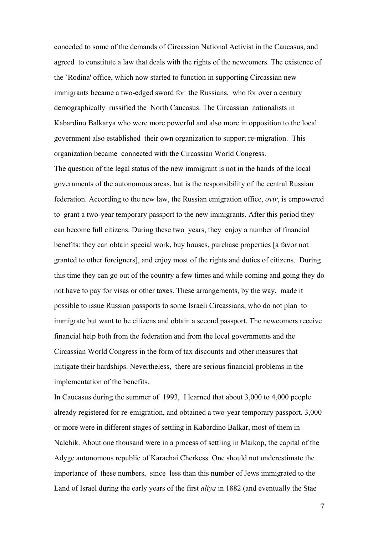conceded to some of the demands of Circassian National Activist in the Caucasus, and agreed to constitute a law that deals with the rights of the newcomers. The existence of the `Rodina' office, which now started to function in supporting Circassian new immigrants became a two-edged sword for the Russians, who for over a century demographically russified the North Caucasus. The Circassian nationalists in Kabardino Balkarya who were more powerful and also more in opposition to the local government also established their own organization to support re-migration. This organization became connected with the Circassian World Congress.

The question of the legal status of the new immigrant is not in the hands of the local governments of the autonomous areas, but is the responsibility of the central Russian federation. According to the new law, the Russian emigration office, *ovir*, is empowered to grant a two-year temporary passport to the new immigrants. After this period they can become full citizens. During these two years, they enjoy a number of financial benefits: they can obtain special work, buy houses, purchase properties [a favor not granted to other foreigners], and enjoy most of the rights and duties of citizens. During this time they can go out of the country a few times and while coming and going they do not have to pay for visas or other taxes. These arrangements, by the way, made it possible to issue Russian passports to some Israeli Circassians, who do not plan to immigrate but want to be citizens and obtain a second passport. The newcomers receive financial help both from the federation and from the local governments and the Circassian World Congress in the form of tax discounts and other measures that mitigate their hardships. Nevertheless, there are serious financial problems in the implementation of the benefits.

In Caucasus during the summer of 1993, I learned that about 3,000 to 4,000 people already registered for re-emigration, and obtained a two-year temporary passport. 3,000 or more were in different stages of settling in Kabardino Balkar, most of them in Nalchik. About one thousand were in a process of settling in Maikop, the capital of the Adyge autonomous republic of Karachai Cherkess. One should not underestimate the importance of these numbers, since less than this number of Jews immigrated to the Land of Israel during the early years of the first *aliya* in 1882 (and eventually the Stae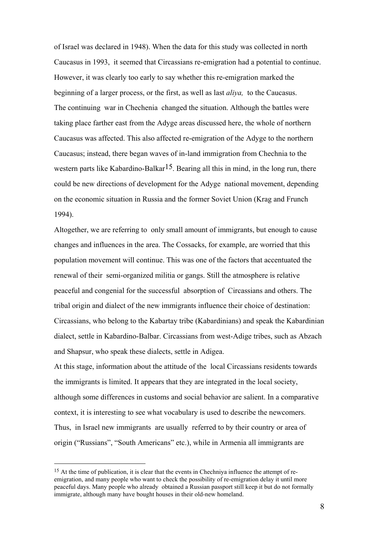of Israel was declared in 1948). When the data for this study was collected in north Caucasus in 1993, it seemed that Circassians re-emigration had a potential to continue. However, it was clearly too early to say whether this re-emigration marked the beginning of a larger process, or the first, as well as last *aliya,* to the Caucasus. The continuing war in Chechenia changed the situation. Although the battles were taking place farther east from the Adyge areas discussed here, the whole of northern Caucasus was affected. This also affected re-emigration of the Adyge to the northern Caucasus; instead, there began waves of in-land immigration from Chechnia to the western parts like Kabardino-Balkar<sup>15</sup>. Bearing all this in mind, in the long run, there could be new directions of development for the Adyge national movement, depending on the economic situation in Russia and the former Soviet Union (Krag and Frunch 1994).

Altogether, we are referring to only small amount of immigrants, but enough to cause changes and influences in the area. The Cossacks, for example, are worried that this population movement will continue. This was one of the factors that accentuated the renewal of their semi-organized militia or gangs. Still the atmosphere is relative peaceful and congenial for the successful absorption of Circassians and others. The tribal origin and dialect of the new immigrants influence their choice of destination: Circassians, who belong to the Kabartay tribe (Kabardinians) and speak the Kabardinian dialect, settle in Kabardino-Balbar. Circassians from west-Adige tribes, such as Abzach and Shapsur, who speak these dialects, settle in Adigea.

At this stage, information about the attitude of the local Circassians residents towards the immigrants is limited. It appears that they are integrated in the local society, although some differences in customs and social behavior are salient. In a comparative context, it is interesting to see what vocabulary is used to describe the newcomers. Thus, in Israel new immigrants are usually referred to by their country or area of origin ("Russians", "South Americans" etc.), while in Armenia all immigrants are

 $\overline{a}$ 

<sup>&</sup>lt;sup>15</sup> At the time of publication, it is clear that the events in Chechniya influence the attempt of reemigration, and many people who want to check the possibility of re-emigration delay it until more peaceful days. Many people who already obtained a Russian passport still keep it but do not formally immigrate, although many have bought houses in their old-new homeland.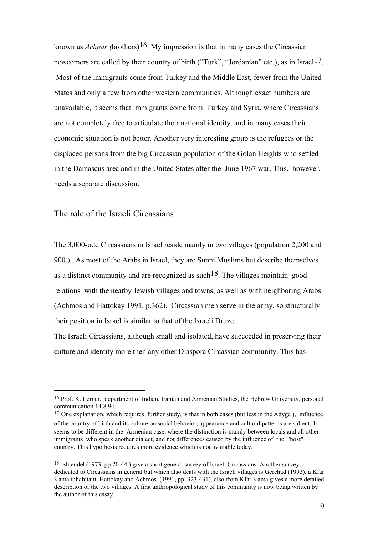known as *Achpar (*brothers)16. My impression is that in many cases the Circassian newcomers are called by their country of birth ("Turk", "Jordanian" etc.), as in Israel<sup>17</sup>. Most of the immigrants come from Turkey and the Middle East, fewer from the United States and only a few from other western communities. Although exact numbers are unavailable, it seems that immigrants come from Turkey and Syria, where Circassians are not completely free to articulate their national identity, and in many cases their economic situation is not better. Another very interesting group is the refugees or the displaced persons from the big Circassian population of the Golan Heights who settled in the Damascus area and in the United States after the June 1967 war. This, however, needs a separate discussion.

#### The role of the Israeli Circassians

The 3,000-odd Circassians in Israel reside mainly in two villages (population 2,200 and 900 ) . As most of the Arabs in Israel, they are Sunni Muslims but describe themselves as a distinct community and are recognized as such  $18$ . The villages maintain good relations with the nearby Jewish villages and towns, as well as with neighboring Arabs (Achmos and Hattokay 1991, p.362). Circassian men serve in the army, so structurally their position in Israel is similar to that of the Israeli Druze.

The Israeli Circassians, although small and isolated, have succeeded in preserving their culture and identity more then any other Diaspora Circassian community. This has

<sup>16</sup> Prof. K. Lerner, department of Indian, Iranian and Armenian Studies, the Hebrew University, personal communication 14.8.94.

 $17$  One explanation, which requires further study, is that in both cases (but less in the Adyge), influence of the country of birth and its culture on social behavior, appearance and cultural patterns are salient. It seems to be different in the Armenian case, where the distinction is mainly between locals and all other immigrants who speak another dialect, and not differences caused by the influence of the "host" country. This hypothesis requires more evidence which is not available today.

<sup>&</sup>lt;sup>18</sup> Shtendel (1973, pp.20-44) give a short general survey of Israeli Circassians. Another survey, dedicated to Circassians in general but which also deals with the Israeli villages is Gerchad (1993), a Kfar Kama inhabitant. Hattokay and Achmos (1991, pp. 323-431), also from Kfar Kama gives a more detailed description of the two villages. A first anthropological study of this community is now being written by the author of this essay.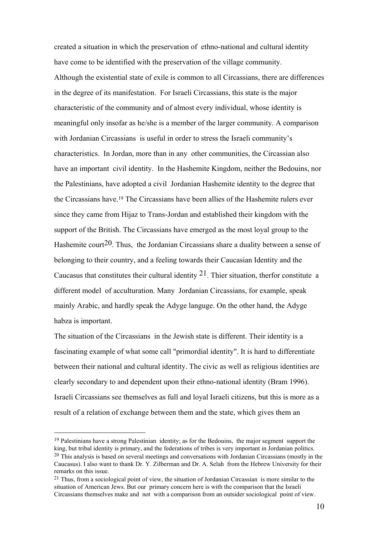created a situation in which the preservation of ethno-national and cultural identity have come to be identified with the preservation of the village community. Although the existential state of exile is common to all Circassians, there are differences in the degree of its manifestation. For Israeli Circassians, this state is the major characteristic of the community and of almost every individual, whose identity is meaningful only insofar as he/she is a member of the larger community. A comparison with Jordanian Circassians is useful in order to stress the Israeli community's characteristics. In Jordan, more than in any other communities, the Circassian also have an important civil identity. In the Hashemite Kingdom, neither the Bedouins, nor the Palestinians, have adopted a civil Jordanian Hashemite identity to the degree that the Circassians have.19 The Circassians have been allies of the Hashemite rulers ever since they came from Hijaz to Trans-Jordan and established their kingdom with the support of the British. The Circassians have emerged as the most loyal group to the Hashemite court<sup>20</sup>. Thus, the Jordanian Circassians share a duality between a sense of belonging to their country, and a feeling towards their Caucasian Identity and the Caucasus that constitutes their cultural identity  $2<sup>1</sup>$ . Thier situation, therfor constitute a different model of acculturation. Many Jordanian Circassians, for example, speak mainly Arabic, and hardly speak the Adyge languge. On the other hand, the Adyge habza is important.

The situation of the Circassians in the Jewish state is different. Their identity is a fascinating example of what some call "primordial identity". It is hard to differentiate between their national and cultural identity. The civic as well as religious identities are clearly secondary to and dependent upon their ethno-national identity (Bram 1996). Israeli Circassians see themselves as full and loyal Israeli citizens, but this is more as a result of a relation of exchange between them and the state, which gives them an

<sup>&</sup>lt;sup>19</sup> Palestinians have a strong Palestinian identity; as for the Bedouins, the major segment support the king, but tribal identity is primary, and the federations of tribes is very important in Jordanian politics.  $20$  This analysis is based on several meetings and conversations with Jordanian Circassians (mostly in the Caucasus). I also want to thank Dr. Y. Zilberman and Dr. A. Selah from the Hebrew University for their remarks on this issue.

 $21$  Thus, from a sociological point of view, the situation of Jordanian Circassian is more similar to the situation of American Jews. But our primary concern here is with the comparison that the Israeli Circassians themselves make and not with a comparison from an outsider sociological point of view.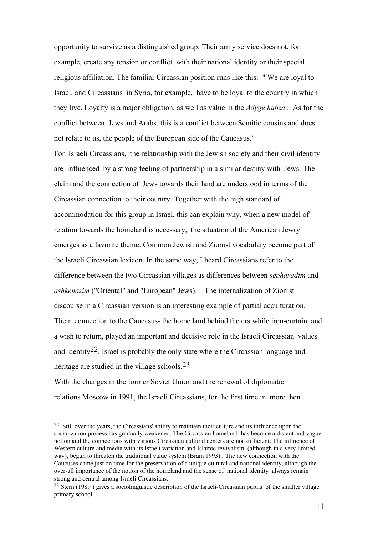opportunity to survive as a distinguished group. Their army service does not, for example, create any tension or conflict with their national identity or their special religious affiliation. The familiar Circassian position runs like this: " We are loyal to Israel, and Circassians in Syria, for example, have to be loyal to the country in which they live. Loyalty is a major obligation, as well as value in the *Adyge habza*... As for the conflict between Jews and Arabs, this is a conflict between Semitic cousins and does not relate to us, the people of the European side of the Caucasus."

For Israeli Circassians, the relationship with the Jewish society and their civil identity are influenced by a strong feeling of partnership in a similar destiny with Jews. The claim and the connection of Jews towards their land are understood in terms of the Circassian connection to their country. Together with the high standard of accommodation for this group in Israel, this can explain why, when a new model of relation towards the homeland is necessary, the situation of the American Jewry emerges as a favorite theme. Common Jewish and Zionist vocabulary become part of the Israeli Circassian lexicon. In the same way, I heard Circassians refer to the difference between the two Circassian villages as differences between *sepharadim* and *ashkenazim* ("Oriental" and "European" Jews). The internalization of Zionist discourse in a Circassian version is an interesting example of partial acculturation. Their connection to the Caucasus- the home land behind the erstwhile iron-curtain and a wish to return, played an important and decisive role in the Israeli Circassian values and identity<sup>22</sup>. Israel is probably the only state where the Circassian language and heritage are studied in the village schools.<sup>23</sup>

With the changes in the former Soviet Union and the renewal of diplomatic relations Moscow in 1991, the Israeli Circassians, for the first time in more then

 $\overline{a}$ 

<sup>22</sup> Still over the years, the Circassians' ability to maintain their culture and its influence upon the socialization process has gradually weakened. The Circassian homeland has become a distant and vague notion and the connections with various Circassian cultural centers are not sufficient. The influence of Western culture and media with its Israeli variation and Islamic revivalism (although in a very limited way), begun to threaten the traditional value system (Bram 1993) . The new connection with the Caucuses came just on time for the preservation of a unique cultural and national identity, although the over-all importance of the notion of the homeland and the sense of national identity always remain strong and central among Israeli Circassians.

<sup>23</sup> Stern (1989 ) gives a sociolinguistic description of the Israeli-Circassian pupils of the smaller village primary school.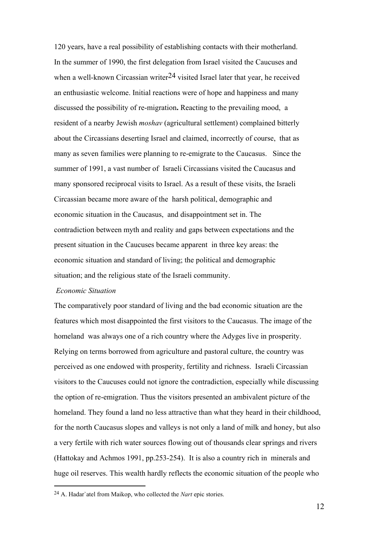120 years, have a real possibility of establishing contacts with their motherland. In the summer of 1990, the first delegation from Israel visited the Caucuses and when a well-known Circassian writer<sup>24</sup> visited Israel later that year, he received an enthusiastic welcome. Initial reactions were of hope and happiness and many discussed the possibility of re-migration**.** Reacting to the prevailing mood, a resident of a nearby Jewish *moshav* (agricultural settlement) complained bitterly about the Circassians deserting Israel and claimed, incorrectly of course, that as many as seven families were planning to re-emigrate to the Caucasus. Since the summer of 1991, a vast number of Israeli Circassians visited the Caucasus and many sponsored reciprocal visits to Israel. As a result of these visits, the Israeli Circassian became more aware of the harsh political, demographic and economic situation in the Caucasus, and disappointment set in. The contradiction between myth and reality and gaps between expectations and the present situation in the Caucuses became apparent in three key areas: the economic situation and standard of living; the political and demographic situation; and the religious state of the Israeli community.

#### *Economic Situation*

l

The comparatively poor standard of living and the bad economic situation are the features which most disappointed the first visitors to the Caucasus. The image of the homeland was always one of a rich country where the Adyges live in prosperity. Relying on terms borrowed from agriculture and pastoral culture, the country was perceived as one endowed with prosperity, fertility and richness. Israeli Circassian visitors to the Caucuses could not ignore the contradiction, especially while discussing the option of re-emigration. Thus the visitors presented an ambivalent picture of the homeland. They found a land no less attractive than what they heard in their childhood, for the north Caucasus slopes and valleys is not only a land of milk and honey, but also a very fertile with rich water sources flowing out of thousands clear springs and rivers (Hattokay and Achmos 1991, pp.253-254). It is also a country rich in minerals and huge oil reserves. This wealth hardly reflects the economic situation of the people who

<sup>24</sup> A. Hadar`atel from Maikop, who collected the *Nart* epic stories.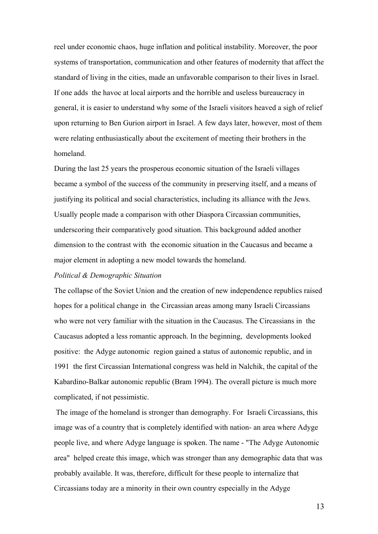reel under economic chaos, huge inflation and political instability. Moreover, the poor systems of transportation, communication and other features of modernity that affect the standard of living in the cities, made an unfavorable comparison to their lives in Israel. If one adds the havoc at local airports and the horrible and useless bureaucracy in general, it is easier to understand why some of the Israeli visitors heaved a sigh of relief upon returning to Ben Gurion airport in Israel. A few days later, however, most of them were relating enthusiastically about the excitement of meeting their brothers in the homeland.

During the last 25 years the prosperous economic situation of the Israeli villages became a symbol of the success of the community in preserving itself, and a means of justifying its political and social characteristics, including its alliance with the Jews. Usually people made a comparison with other Diaspora Circassian communities, underscoring their comparatively good situation. This background added another dimension to the contrast with the economic situation in the Caucasus and became a major element in adopting a new model towards the homeland.

#### *Political & Demographic Situation*

The collapse of the Soviet Union and the creation of new independence republics raised hopes for a political change in the Circassian areas among many Israeli Circassians who were not very familiar with the situation in the Caucasus. The Circassians in the Caucasus adopted a less romantic approach. In the beginning, developments looked positive: the Adyge autonomic region gained a status of autonomic republic, and in 1991 the first Circassian International congress was held in Nalchik, the capital of the Kabardino-Balkar autonomic republic (Bram 1994). The overall picture is much more complicated, if not pessimistic.

 The image of the homeland is stronger than demography. For Israeli Circassians, this image was of a country that is completely identified with nation- an area where Adyge people live, and where Adyge language is spoken. The name - "The Adyge Autonomic area" helped create this image, which was stronger than any demographic data that was probably available. It was, therefore, difficult for these people to internalize that Circassians today are a minority in their own country especially in the Adyge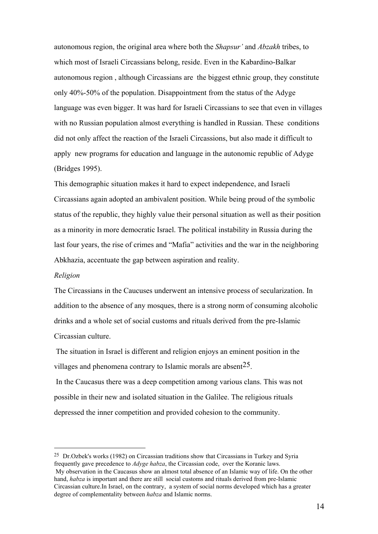autonomous region, the original area where both the *Shapsur'* and *Abzakh* tribes, to which most of Israeli Circassians belong, reside. Even in the Kabardino-Balkar autonomous region , although Circassians are the biggest ethnic group, they constitute only 40%-50% of the population. Disappointment from the status of the Adyge language was even bigger. It was hard for Israeli Circassians to see that even in villages with no Russian population almost everything is handled in Russian. These conditions did not only affect the reaction of the Israeli Circassions, but also made it difficult to apply new programs for education and language in the autonomic republic of Adyge (Bridges 1995).

This demographic situation makes it hard to expect independence, and Israeli Circassians again adopted an ambivalent position. While being proud of the symbolic status of the republic, they highly value their personal situation as well as their position as a minority in more democratic Israel. The political instability in Russia during the last four years, the rise of crimes and "Mafia" activities and the war in the neighboring Abkhazia, accentuate the gap between aspiration and reality.

#### *Religion*

The Circassians in the Caucuses underwent an intensive process of secularization. In addition to the absence of any mosques, there is a strong norm of consuming alcoholic drinks and a whole set of social customs and rituals derived from the pre-Islamic Circassian culture.

 The situation in Israel is different and religion enjoys an eminent position in the villages and phenomena contrary to Islamic morals are absent<sup>25</sup>.

 In the Caucasus there was a deep competition among various clans. This was not possible in their new and isolated situation in the Galilee. The religious rituals depressed the inner competition and provided cohesion to the community.

<sup>25</sup> Dr.Ozbek's works (1982) on Circassian traditions show that Circassians in Turkey and Syria frequently gave precedence to *Adyge habza*, the Circassian code, over the Koranic laws. My observation in the Caucasus show an almost total absence of an Islamic way of life. On the other hand, *habza* is important and there are still social customs and rituals derived from pre-Islamic Circassian culture.In Israel, on the contrary, a system of social norms developed which has a greater degree of complementality between *habza* and Islamic norms.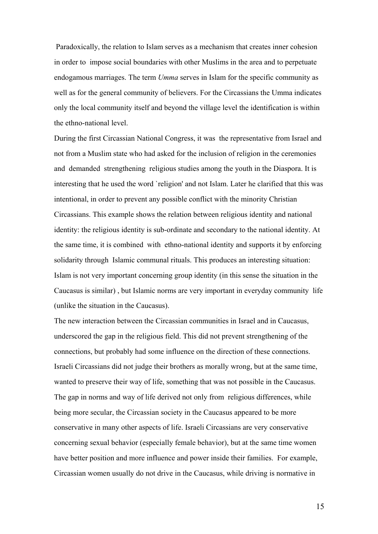Paradoxically, the relation to Islam serves as a mechanism that creates inner cohesion in order to impose social boundaries with other Muslims in the area and to perpetuate endogamous marriages. The term *Umma* serves in Islam for the specific community as well as for the general community of believers. For the Circassians the Umma indicates only the local community itself and beyond the village level the identification is within the ethno-national level.

During the first Circassian National Congress, it was the representative from Israel and not from a Muslim state who had asked for the inclusion of religion in the ceremonies and demanded strengthening religious studies among the youth in the Diaspora. It is interesting that he used the word `religion' and not Islam. Later he clarified that this was intentional, in order to prevent any possible conflict with the minority Christian Circassians. This example shows the relation between religious identity and national identity: the religious identity is sub-ordinate and secondary to the national identity. At the same time, it is combined with ethno-national identity and supports it by enforcing solidarity through Islamic communal rituals. This produces an interesting situation: Islam is not very important concerning group identity (in this sense the situation in the Caucasus is similar) , but Islamic norms are very important in everyday community life (unlike the situation in the Caucasus).

The new interaction between the Circassian communities in Israel and in Caucasus, underscored the gap in the religious field. This did not prevent strengthening of the connections, but probably had some influence on the direction of these connections. Israeli Circassians did not judge their brothers as morally wrong, but at the same time, wanted to preserve their way of life, something that was not possible in the Caucasus. The gap in norms and way of life derived not only from religious differences, while being more secular, the Circassian society in the Caucasus appeared to be more conservative in many other aspects of life. Israeli Circassians are very conservative concerning sexual behavior (especially female behavior), but at the same time women have better position and more influence and power inside their families. For example, Circassian women usually do not drive in the Caucasus, while driving is normative in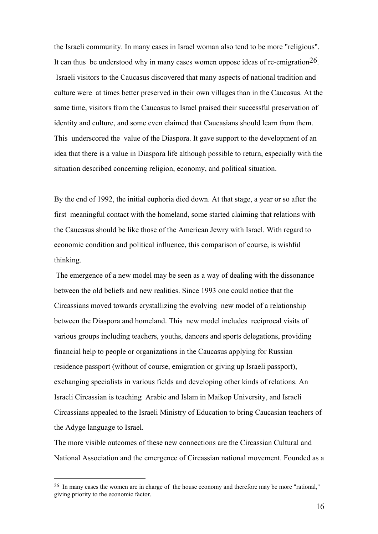the Israeli community. In many cases in Israel woman also tend to be more "religious". It can thus be understood why in many cases women oppose ideas of re-emigration  $26$ . Israeli visitors to the Caucasus discovered that many aspects of national tradition and culture were at times better preserved in their own villages than in the Caucasus. At the same time, visitors from the Caucasus to Israel praised their successful preservation of identity and culture, and some even claimed that Caucasians should learn from them. This underscored the value of the Diaspora. It gave support to the development of an idea that there is a value in Diaspora life although possible to return, especially with the situation described concerning religion, economy, and political situation.

By the end of 1992, the initial euphoria died down. At that stage, a year or so after the first meaningful contact with the homeland, some started claiming that relations with the Caucasus should be like those of the American Jewry with Israel. With regard to economic condition and political influence, this comparison of course, is wishful thinking.

 The emergence of a new model may be seen as a way of dealing with the dissonance between the old beliefs and new realities. Since 1993 one could notice that the Circassians moved towards crystallizing the evolving new model of a relationship between the Diaspora and homeland. This new model includes reciprocal visits of various groups including teachers, youths, dancers and sports delegations, providing financial help to people or organizations in the Caucasus applying for Russian residence passport (without of course, emigration or giving up Israeli passport), exchanging specialists in various fields and developing other kinds of relations. An Israeli Circassian is teaching Arabic and Islam in Maikop University, and Israeli Circassians appealed to the Israeli Ministry of Education to bring Caucasian teachers of the Adyge language to Israel.

The more visible outcomes of these new connections are the Circassian Cultural and National Association and the emergence of Circassian national movement. Founded as a

<sup>&</sup>lt;sup>26</sup> In many cases the women are in charge of the house economy and therefore may be more "rational," giving priority to the economic factor.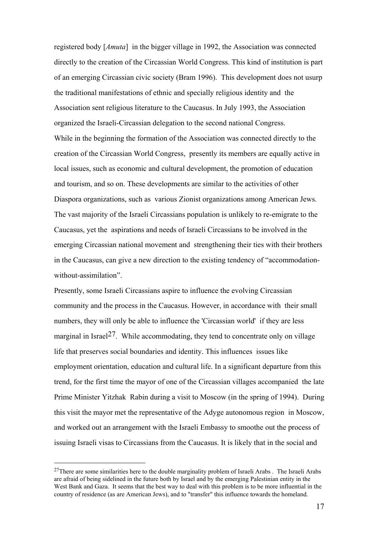registered body [*Amuta*] in the bigger village in 1992, the Association was connected directly to the creation of the Circassian World Congress. This kind of institution is part of an emerging Circassian civic society (Bram 1996). This development does not usurp the traditional manifestations of ethnic and specially religious identity and the Association sent religious literature to the Caucasus. In July 1993, the Association organized the Israeli-Circassian delegation to the second national Congress. While in the beginning the formation of the Association was connected directly to the creation of the Circassian World Congress, presently its members are equally active in local issues, such as economic and cultural development, the promotion of education and tourism, and so on. These developments are similar to the activities of other Diaspora organizations, such as various Zionist organizations among American Jews. The vast majority of the Israeli Circassians population is unlikely to re-emigrate to the Caucasus, yet the aspirations and needs of Israeli Circassians to be involved in the emerging Circassian national movement and strengthening their ties with their brothers in the Caucasus, can give a new direction to the existing tendency of "accommodationwithout-assimilation".

Presently, some Israeli Circassians aspire to influence the evolving Circassian community and the process in the Caucasus. However, in accordance with their small numbers, they will only be able to influence the 'Circassian world' if they are less marginal in Israel<sup>27</sup>. While accommodating, they tend to concentrate only on village life that preserves social boundaries and identity. This influences issues like employment orientation, education and cultural life. In a significant departure from this trend, for the first time the mayor of one of the Circassian villages accompanied the late Prime Minister Yitzhak Rabin during a visit to Moscow (in the spring of 1994). During this visit the mayor met the representative of the Adyge autonomous region in Moscow, and worked out an arrangement with the Israeli Embassy to smoothe out the process of issuing Israeli visas to Circassians from the Caucasus. It is likely that in the social and

<sup>&</sup>lt;sup>27</sup>There are some similarities here to the double marginality problem of Israeli Arabs . The Israeli Arabs are afraid of being sidelined in the future both by Israel and by the emerging Palestinian entity in the West Bank and Gaza. It seems that the best way to deal with this problem is to be more influential in the country of residence (as are American Jews), and to "transfer" this influence towards the homeland.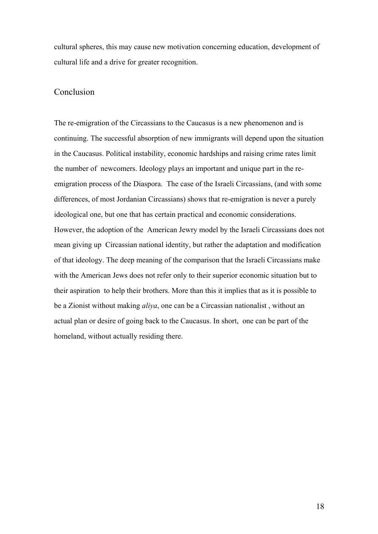cultural spheres, this may cause new motivation concerning education, development of cultural life and a drive for greater recognition.

### Conclusion

The re-emigration of the Circassians to the Caucasus is a new phenomenon and is continuing. The successful absorption of new immigrants will depend upon the situation in the Caucasus. Political instability, economic hardships and raising crime rates limit the number of newcomers. Ideology plays an important and unique part in the reemigration process of the Diaspora. The case of the Israeli Circassians, (and with some differences, of most Jordanian Circassians) shows that re-emigration is never a purely ideological one, but one that has certain practical and economic considerations. However, the adoption of the American Jewry model by the Israeli Circassians does not mean giving up Circassian national identity, but rather the adaptation and modification of that ideology. The deep meaning of the comparison that the Israeli Circassians make with the American Jews does not refer only to their superior economic situation but to their aspiration to help their brothers. More than this it implies that as it is possible to be a Zionist without making *aliya*, one can be a Circassian nationalist , without an actual plan or desire of going back to the Caucasus. In short, one can be part of the homeland, without actually residing there.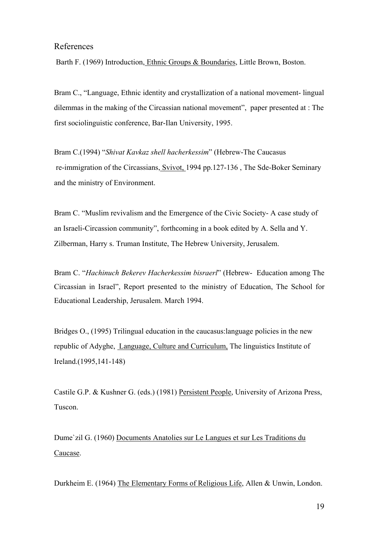## References

Barth F. (1969) Introduction, Ethnic Groups & Boundaries, Little Brown, Boston.

Bram C., "Language, Ethnic identity and crystallization of a national movement- lingual dilemmas in the making of the Circassian national movement", paper presented at : The first sociolinguistic conference, Bar-Ilan University, 1995.

Bram C.(1994) "*Shivat Kavkaz shell hacherkessim*" (Hebrew-The Caucasus re-immigration of the Circassians, Svivot, 1994 pp.127-136 , The Sde-Boker Seminary and the ministry of Environment.

Bram C. "Muslim revivalism and the Emergence of the Civic Society- A case study of an Israeli-Circassion community", forthcoming in a book edited by A. Sella and Y. Zilberman, Harry s. Truman Institute, The Hebrew University, Jerusalem.

Bram C. "*Hachinuch Bekerev Hacherkessim bisraerl*" (Hebrew- Education among The Circassian in Israel", Report presented to the ministry of Education, The School for Educational Leadership, Jerusalem. March 1994.

Bridges O., (1995) Trilingual education in the caucasus:language policies in the new republic of Adyghe, Language, Culture and Curriculum, The linguistics Institute of Ireland.(1995,141-148)

Castile G.P. & Kushner G. (eds.) (1981) Persistent People, University of Arizona Press, Tuscon.

Dume`zil G. (1960) Documents Anatolies sur Le Langues et sur Les Traditions du Caucase.

Durkheim E. (1964) The Elementary Forms of Religious Life, Allen & Unwin, London.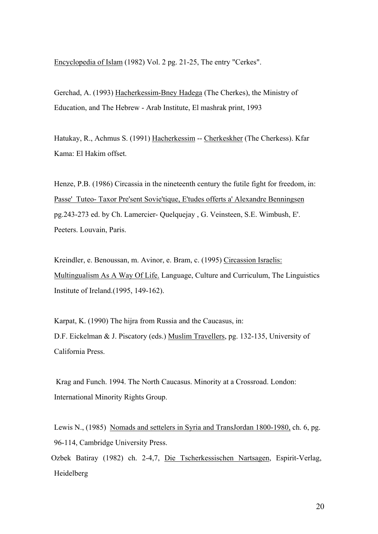Encyclopedia of Islam (1982) Vol. 2 pg. 21-25, The entry "Cerkes".

Gerchad, A. (1993) Hacherkessim-Bney Hadega (The Cherkes), the Ministry of Education, and The Hebrew - Arab Institute, El mashrak print, 1993

Hatukay, R., Achmus S. (1991) Hacherkessim -- Cherkeskher (The Cherkess). Kfar Kama: El Hakim offset.

Henze, P.B. (1986) Circassia in the nineteenth century the futile fight for freedom, in: Passe' Tuteo- Taxor Pre'sent Sovie'tique, E'tudes offerts a' Alexandre Benningsen pg.243-273 ed. by Ch. Lamercier- Quelquejay , G. Veinsteen, S.E. Wimbush, E'. Peeters. Louvain, Paris.

Kreindler, e. Benoussan, m. Avinor, e. Bram, c. (1995) Circassion Israelis: Multingualism As A Way Of Life. Language, Culture and Curriculum, The Linguistics Institute of Ireland.(1995, 149-162).

Karpat, K. (1990) The hijra from Russia and the Caucasus, in: D.F. Eickelman & J. Piscatory (eds.) Muslim Travellers, pg. 132-135, University of California Press.

 Krag and Funch. 1994. The North Caucasus. Minority at a Crossroad. London: International Minority Rights Group.

Lewis N., (1985) Nomads and settelers in Syria and TransJordan 1800-1980, ch. 6, pg. 96-114, Cambridge University Press.

Ozbek Batiray (1982) ch. 2-4,7, Die Tscherkessischen Nartsagen, Espirit-Verlag, Heidelberg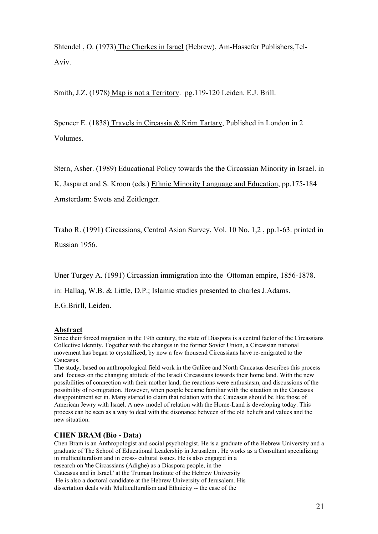Shtendel , O. (1973) The Cherkes in Israel (Hebrew), Am-Hassefer Publishers,Tel-Aviv.

Smith, J.Z. (1978) Map is not a Territory. pg.119-120 Leiden. E.J. Brill.

Spencer E. (1838) Travels in Circassia & Krim Tartary, Published in London in 2 Volumes.

Stern, Asher. (1989) Educational Policy towards the the Circassian Minority in Israel. in K. Jasparet and S. Kroon (eds.) Ethnic Minority Language and Education, pp.175-184 Amsterdam: Swets and Zeitlenger.

Traho R. (1991) Circassians, Central Asian Survey, Vol. 10 No. 1,2 , pp.1-63. printed in Russian 1956.

Uner Turgey A. (1991) Circassian immigration into the Ottoman empire, 1856-1878.

in: Hallaq, W.B. & Little, D.P.; Islamic studies presented to charles J.Adams.

E.G.Brirll, Leiden.

#### **Abstract**

Since their forced migration in the 19th century, the state of Diaspora is a central factor of the Circassians Collective Identity. Together with the changes in the former Soviet Union, a Circassian national movement has began to crystallized, by now a few thousend Circassians have re-emigrated to the Caucasus.

The study, based on anthropological field work in the Galilee and North Caucasus describes this process and focuses on the changing attitude of the Israeli Circassians towards their home land. With the new possibilities of connection with their mother land, the reactions were enthusiasm, and discussions of the possibility of re-migration. However, when people became familiar with the situation in the Caucasus disappointment set in. Many started to claim that relation with the Caucasus should be like those of American Jewry with Israel. A new model of relation with the Home-Land is developing today. This process can be seen as a way to deal with the disonance between of the old beliefs and values and the new situation.

### **CHEN BRAM (Bio - Data)**

Chen Bram is an Anthropologist and social psychologist. He is a graduate of the Hebrew University and a graduate of The School of Educational Leadership in Jerusalem . He works as a Consultant specializing in multiculturalism and in cross- cultural issues. He is also engaged in a research on 'the Circassians (Adighe) as a Diaspora people, in the Caucasus and in Israel,' at the Truman Institute of the Hebrew University

 He is also a doctoral candidate at the Hebrew University of Jerusalem. His dissertation deals with 'Multiculturalism and Ethnicity -- the case of the